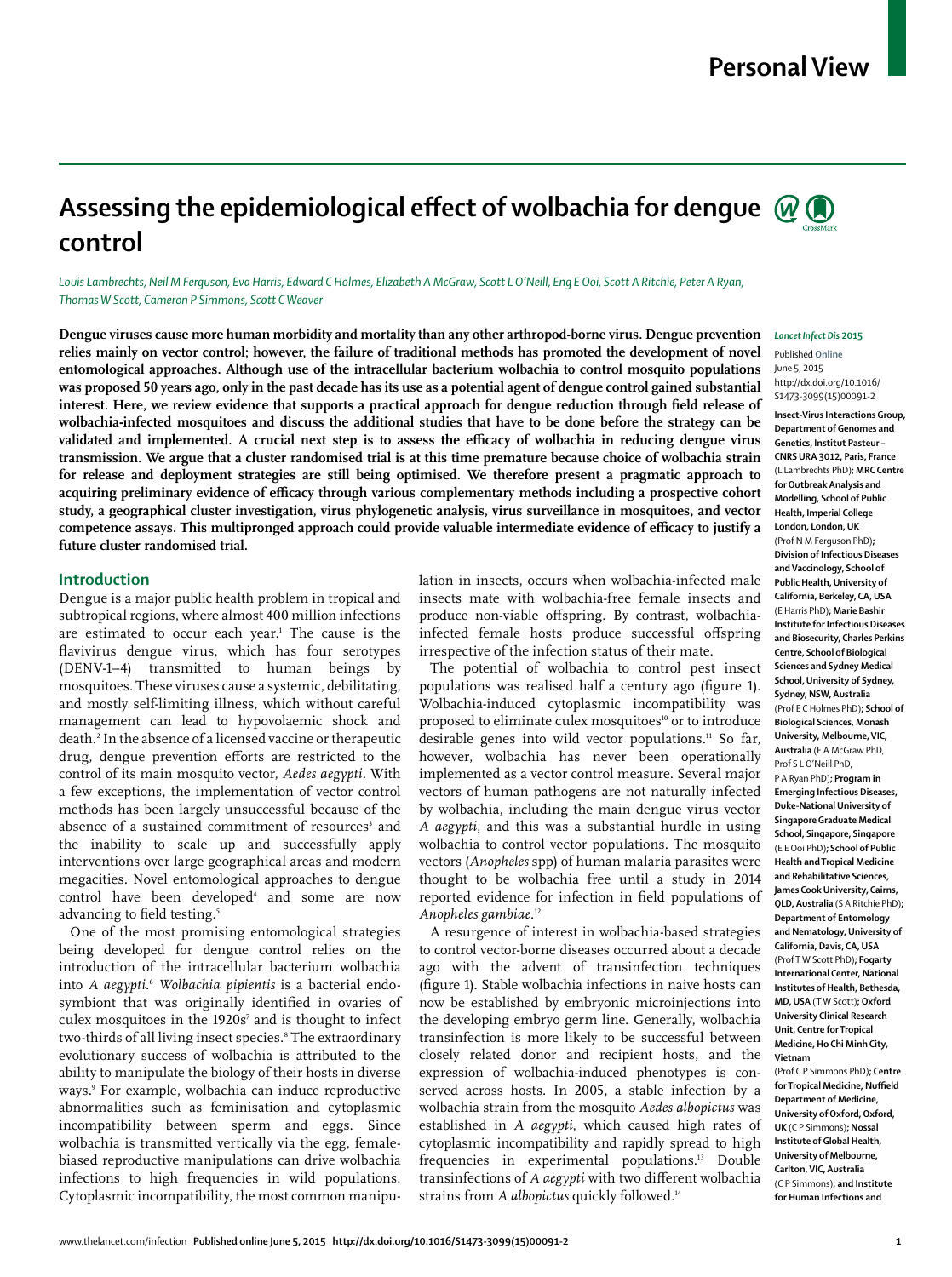## **Personal View**

# Assessing the epidemiological effect of wolbachia for dengue  $\mathcal{Q}(\bigcirc)$ **control**

*Louis Lambrechts, Neil M Ferguson, Eva Harris, Edward C Holmes, Elizabeth A McGraw, Scott L O'Neill, Eng E Ooi, Scott A Ritchie, Peter A Ryan, Thomas W Scott, Cameron P Simmons, Scott C Weaver*

**Dengue viruses cause more human morbidity and mortality than any other arthropod-borne virus. Dengue prevention relies mainly on vector control; however, the failure of traditional methods has promoted the development of novel entomological approaches. Although use of the intracellular bacterium wolbachia to control mosquito populations was proposed 50 years ago, only in the past decade has its use as a potential agent of dengue control gained substantial**  interest. Here, we review evidence that supports a practical approach for dengue reduction through field release of **wolbachia-infected mosquitoes and discuss the additional studies that have to be done before the strategy can be**  validated and implemented. A crucial next step is to assess the efficacy of wolbachia in reducing dengue virus **transmission. We argue that a cluster randomised trial is at this time premature because choice of wolbachia strain for release and deployment strategies are still being optimised. We therefore present a pragmatic approach to**  acquiring preliminary evidence of efficacy through various complementary methods including a prospective cohort **study, a geographical cluster investigation, virus phylogenetic analysis, virus surveillance in mosquitoes, and vector**  competence assays. This multipronged approach could provide valuable intermediate evidence of efficacy to justify a **future cluster randomised trial.**

## **Introduction**

Dengue is a major public health problem in tropical and subtropical regions, where almost 400 million infections are estimated to occur each year.1 The cause is the flavivirus dengue virus, which has four serotypes (DENV-1–4) transmitted to human beings by mosquitoes. These viruses cause a systemic, debilitating, and mostly self-limiting illness, which without careful management can lead to hypovolaemic shock and death.2 In the absence of a licensed vaccine or therapeutic drug, dengue prevention efforts are restricted to the control of its main mosquito vector, *Aedes aegypti*. With a few exceptions, the implementation of vector control methods has been largely unsuccessful because of the absence of a sustained commitment of resources<sup>3</sup> and the inability to scale up and successfully apply interventions over large geographical areas and modern megacities. Novel entomological approaches to dengue control have been developed<sup>4</sup> and some are now advancing to field testing.<sup>5</sup>

One of the most promising entomological strategies being developed for dengue control relies on the introduction of the intracellular bacterium wolbachia into *A aegypti*. <sup>6</sup> *Wolbachia pipientis* is a bacterial endosymbiont that was originally identified in ovaries of culex mosquitoes in the  $1920s^7$  and is thought to infect two-thirds of all living insect species.8 The extraordinary evolutionary success of wolbachia is attributed to the ability to manipulate the biology of their hosts in diverse ways.9 For example, wolbachia can induce reproductive abnormalities such as feminisation and cytoplasmic incompatibility between sperm and eggs. Since wolbachia is transmitted vertically via the egg, femalebiased reproductive manipulations can drive wolbachia infections to high frequencies in wild populations. Cytoplasmic incompatibility, the most common manipulation in insects, occurs when wolbachia-infected male insects mate with wolbachia-free female insects and produce non-viable offspring. By contrast, wolbachiainfected female hosts produce successful offspring irrespective of the infection status of their mate.

The potential of wolbachia to control pest insect populations was realised half a century ago (figure 1). Wolbachia-induced cytoplasmic incompatibility was proposed to eliminate culex mosquitoes<sup>10</sup> or to introduce desirable genes into wild vector populations.<sup>11</sup> So far, however, wolbachia has never been operationally implemented as a vector control measure. Several major vectors of human pathogens are not naturally infected by wolbachia, including the main dengue virus vector *A aegypti*, and this was a substantial hurdle in using wolbachia to control vector populations. The mosquito vectors (*Anopheles* spp) of human malaria parasites were thought to be wolbachia free until a study in 2014 reported evidence for infection in field populations of *Anopheles gambiae*. 12

A resurgence of interest in wolbachia-based strategies to control vector-borne diseases occurred about a decade ago with the advent of transinfection techniques (figure 1). Stable wolbachia infections in naive hosts can now be established by embryonic microinjections into the developing embryo germ line. Generally, wolbachia transinfection is more likely to be successful between closely related donor and recipient hosts, and the expression of wolbachia-induced phenotypes is conserved across hosts. In 2005, a stable infection by a wolbachia strain from the mosquito *Aedes albopictus* was established in *A aegypti*, which caused high rates of cytoplasmic incompatibility and rapidly spread to high frequencies in experimental populations.<sup>13</sup> Double transinfections of *A aegypti* with two different wolbachia strains from *A albopictus* quickly followed.14



Published **Online** June 5, 2015 http://dx.doi.org/10.1016/ S1473-3099(15)00091-2 **Insect-Virus Interactions Group,** 

**Department of Genomes and Genetics, Institut Pasteur – CNRS URA 3012, Paris, France** (L Lambrechts PhD)**; MRC Centre for Outbreak Analysis and Modelling, School of Public Health, Imperial College London, London, UK** (Prof N M Ferguson PhD)**; Division of Infectious Diseases and Vaccinology, School of Public Health, University of California, Berkeley, CA, USA** (E Harris PhD)**; Marie Bashir Institute for Infectious Diseases and Biosecurity, Charles Perkins Centre, School of Biological Sciences and Sydney Medical School, University of Sydney, Sydney, NSW, Australia**  (Prof E C Holmes PhD)**; School of Biological Sciences, Monash University, Melbourne, VIC, Australia** (E A McGraw PhD, Prof S L O'Neill PhD P A Ryan PhD)**; Program in Emerging Infectious Diseases, Duke-National University of Singapore Graduate Medical School, Singapore, Singapore** (E E Ooi PhD)**; School of Public Health and Tropical Medicine and Rehabilitative Sciences, James Cook University, Cairns, QLD, Australia** (S A Ritchie PhD)**; Department of Entomology and Nematology, University of California, Davis, CA, USA**  (Prof T W Scott PhD)**; Fogarty International Center, National Institutes of Health, Bethesda, MD, USA** (T W Scott)**; Oxford University Clinical Research Unit, Centre for Tropical Medicine, Ho Chi Minh City, Vietnam** (Prof C P Simmons PhD)**; Centre for Tropical Medicine, Nuffield Department of Medicine, University of Oxford, Oxford, UK** (C P Simmons)**; Nossal** 

**Institute of Global Health, University of Melbourne, Carlton, VIC, Australia**  (C P Simmons)**; and Institute for Human Infections and**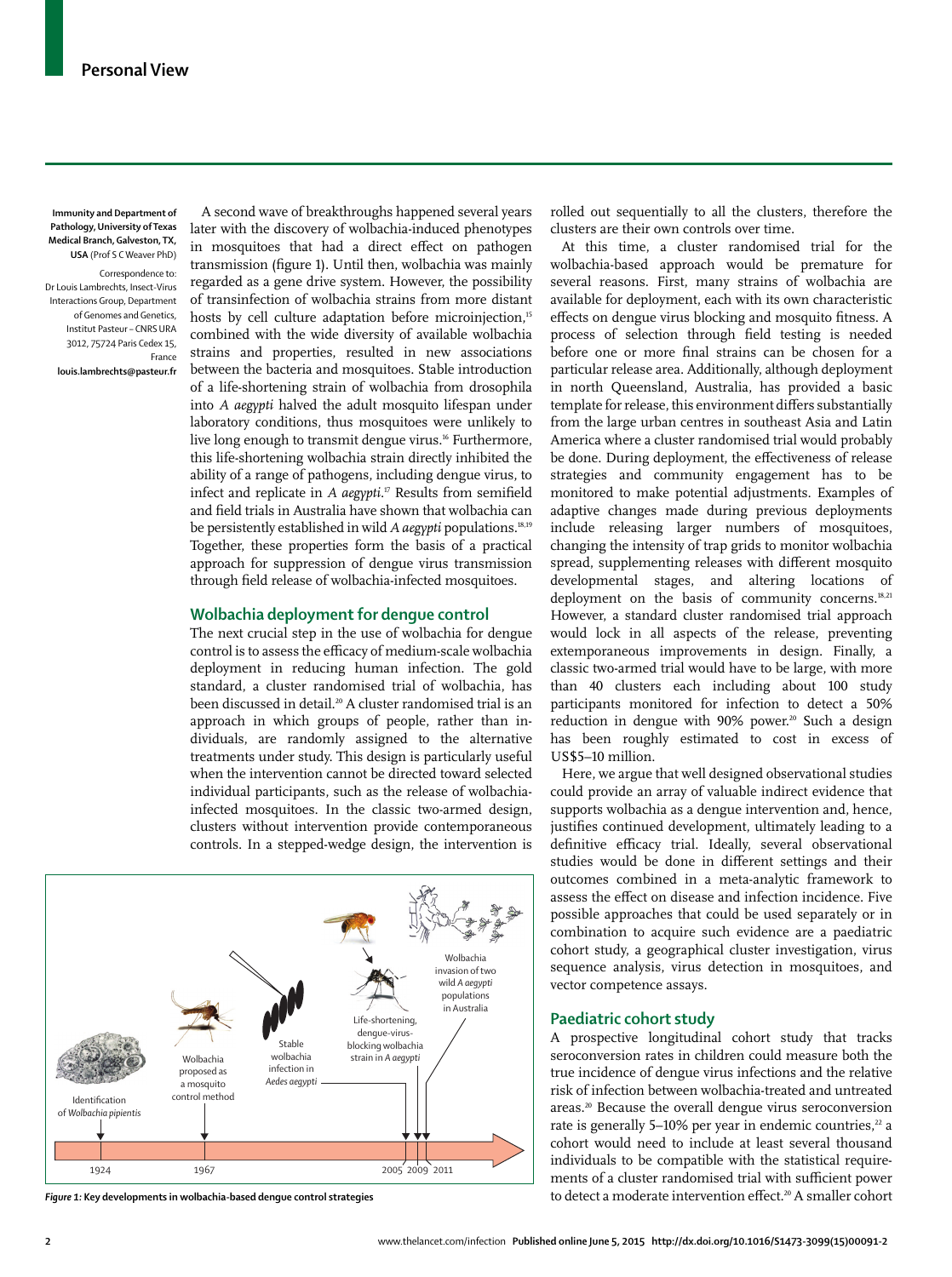**Immunity and Department of Pathology, University of Texas Medical Branch, Galveston, TX, USA** (Prof S C Weaver PhD)

Correspondence to: Dr Louis Lambrechts, Insect-Virus Interactions Group, Department of Genomes and Genetics, Institut Pasteur – CNRS URA 3012, 75724 Paris Cedex 15, France

**louis.lambrechts@pasteur.fr**

A second wave of breakthroughs happened several years later with the discovery of wolbachia-induced phenotypes in mosquitoes that had a direct effect on pathogen transmission (figure 1). Until then, wolbachia was mainly regarded as a gene drive system. However, the possibility of transinfection of wolbachia strains from more distant hosts by cell culture adaptation before microinjection,<sup>15</sup> combined with the wide diversity of available wolbachia strains and properties, resulted in new associations between the bacteria and mosquitoes. Stable introduction of a life-shortening strain of wolbachia from drosophila into *A aegypti* halved the adult mosquito lifespan under laboratory conditions, thus mosquitoes were unlikely to live long enough to transmit dengue virus.<sup>16</sup> Furthermore, this life-shortening wolbachia strain directly inhibited the ability of a range of pathogens, including dengue virus, to infect and replicate in *A aegypti*.<sup>17</sup> Results from semifield and field trials in Australia have shown that wolbachia can be persistently established in wild *A aegypti* populations.18,19 Together, these properties form the basis of a practical approach for suppression of dengue virus transmission through field release of wolbachia-infected mosquitoes.

## **Wolbachia deployment for dengue control**

The next crucial step in the use of wolbachia for dengue control is to assess the efficacy of medium-scale wolbachia deployment in reducing human infection. The gold standard, a cluster randomised trial of wolbachia, has been discussed in detail.<sup>20</sup> A cluster randomised trial is an approach in which groups of people, rather than individuals, are randomly assigned to the alternative treatments under study. This design is particularly useful when the intervention cannot be directed toward selected individual participants, such as the release of wolbachiainfected mosquitoes. In the classic two-armed design, clusters without intervention provide contemporaneous controls. In a stepped-wedge design, the intervention is



rolled out sequentially to all the clusters, therefore the clusters are their own controls over time.

At this time, a cluster randomised trial for the wolbachia-based approach would be premature for several reasons. First, many strains of wolbachia are available for deployment, each with its own characteristic effects on dengue virus blocking and mosquito fitness. A process of selection through field testing is needed before one or more final strains can be chosen for a particular release area. Additionally, although deployment in north Queensland, Australia, has provided a basic template for release, this environment differs substantially from the large urban centres in southeast Asia and Latin America where a cluster randomised trial would probably be done. During deployment, the effectiveness of release strategies and community engagement has to be monitored to make potential adjustments. Examples of adaptive changes made during previous deployments include releasing larger numbers of mosquitoes, changing the intensity of trap grids to monitor wolbachia spread, supplementing releases with different mosquito developmental stages, and altering locations of deployment on the basis of community concerns.<sup>18,21</sup> However, a standard cluster randomised trial approach would lock in all aspects of the release, preventing extemporaneous improvements in design. Finally, a classic two-armed trial would have to be large, with more than 40 clusters each including about 100 study participants monitored for infection to detect a 50% reduction in dengue with 90% power.<sup>20</sup> Such a design has been roughly estimated to cost in excess of US\$5–10 million.

Here, we argue that well designed observational studies could provide an array of valuable indirect evidence that supports wolbachia as a dengue intervention and, hence, justifies continued development, ultimately leading to a definitive efficacy trial. Ideally, several observational studies would be done in different settings and their outcomes combined in a meta-analytic framework to assess the effect on disease and infection incidence. Five possible approaches that could be used separately or in combination to acquire such evidence are a paediatric cohort study, a geographical cluster investigation, virus sequence analysis, virus detection in mosquitoes, and vector competence assays.

## **Paediatric cohort study**

A prospective longitudinal cohort study that tracks seroconversion rates in children could measure both the true incidence of dengue virus infections and the relative risk of infection between wolbachia-treated and untreated areas.<sup>20</sup> Because the overall dengue virus seroconversion rate is generally 5-10% per year in endemic countries,<sup>22</sup> a cohort would need to include at least several thousand individuals to be compatible with the statistical requirements of a cluster randomised trial with sufficient power Figure 1: Key developments in wolbachia-based dengue control strategies and the strategies to detect a moderate intervention effect.<sup>20</sup> A smaller cohort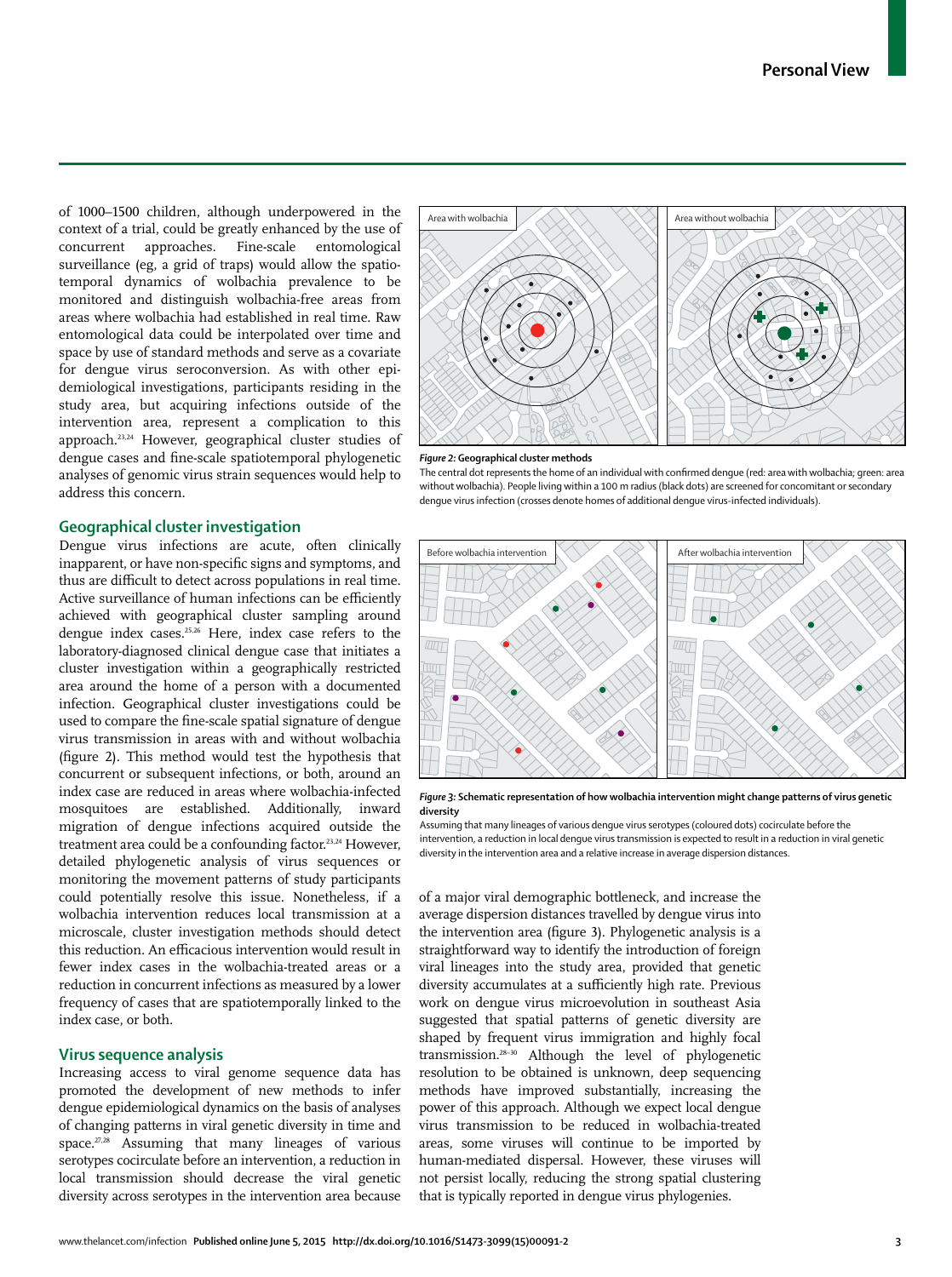of 1000–1500 children, although underpowered in the context of a trial, could be greatly enhanced by the use of concurrent approaches. Fine-scale entomological surveillance (eg, a grid of traps) would allow the spatiotemporal dynamics of wolbachia prevalence to be monitored and distinguish wolbachia-free areas from areas where wolbachia had established in real time. Raw entomological data could be interpolated over time and space by use of standard methods and serve as a covariate for dengue virus seroconversion. As with other epidemiological investigations, participants residing in the study area, but acquiring infections outside of the intervention area, represent a complication to this approach.23,24 However, geographical cluster studies of dengue cases and fine-scale spatiotemporal phylogenetic analyses of genomic virus strain sequences would help to address this concern.

## **Geographical cluster investigation**

Dengue virus infections are acute, often clinically inapparent, or have non-specific signs and symptoms, and thus are difficult to detect across populations in real time. Active surveillance of human infections can be efficiently achieved with geographical cluster sampling around dengue index cases.25,26 Here, index case refers to the laboratory-diagnosed clinical dengue case that initiates a cluster investigation within a geographically restricted area around the home of a person with a documented infection. Geographical cluster investigations could be used to compare the fine-scale spatial signature of dengue virus transmission in areas with and without wolbachia (figure 2). This method would test the hypothesis that concurrent or subsequent infections, or both, around an index case are reduced in areas where wolbachia-infected mosquitoes are established. Additionally, inward migration of dengue infections acquired outside the treatment area could be a confounding factor.<sup>23,24</sup> However, detailed phylogenetic analysis of virus sequences or monitoring the movement patterns of study participants could potentially resolve this issue. Nonetheless, if a wolbachia intervention reduces local transmission at a microscale, cluster investigation methods should detect this reduction. An efficacious intervention would result in fewer index cases in the wolbachia-treated areas or a reduction in concurrent infections as measured by a lower frequency of cases that are spatiotemporally linked to the index case, or both.

#### **Virus sequence analysis**

Increasing access to viral genome sequence data has promoted the development of new methods to infer dengue epidemiological dynamics on the basis of analyses of changing patterns in viral genetic diversity in time and space. $27,28$  Assuming that many lineages of various serotypes cocirculate before an intervention, a reduction in local transmission should decrease the viral genetic diversity across serotypes in the intervention area because



#### *Figure 2:* **Geographical cluster methods**

The central dot represents the home of an individual with confirmed dengue (red: area with wolbachia; green: area without wolbachia). People living within a 100 m radius (black dots) are screened for concomitant or secondary dengue virus infection (crosses denote homes of additional dengue virus-infected individuals).



*Figure 3:* **Schematic representation of how wolbachia intervention might change patterns of virus genetic diversity**

Assuming that many lineages of various dengue virus serotypes (coloured dots) cocirculate before the intervention, a reduction in local dengue virus transmission is expected to result in a reduction in viral genetic diversity in the intervention area and a relative increase in average dispersion distances.

of a major viral demographic bottleneck, and increase the average dispersion distances travelled by dengue virus into the intervention area (figure 3). Phylogenetic analysis is a straightforward way to identify the introduction of foreign viral lineages into the study area, provided that genetic diversity accumulates at a sufficiently high rate. Previous work on dengue virus microevolution in southeast Asia suggested that spatial patterns of genetic diversity are shaped by frequent virus immigration and highly focal transmission.28–30 Although the level of phylogenetic resolution to be obtained is unknown, deep sequencing methods have improved substantially, increasing the power of this approach. Although we expect local dengue virus transmission to be reduced in wolbachia-treated areas, some viruses will continue to be imported by human-mediated dispersal. However, these viruses will not persist locally, reducing the strong spatial clustering that is typically reported in dengue virus phylogenies.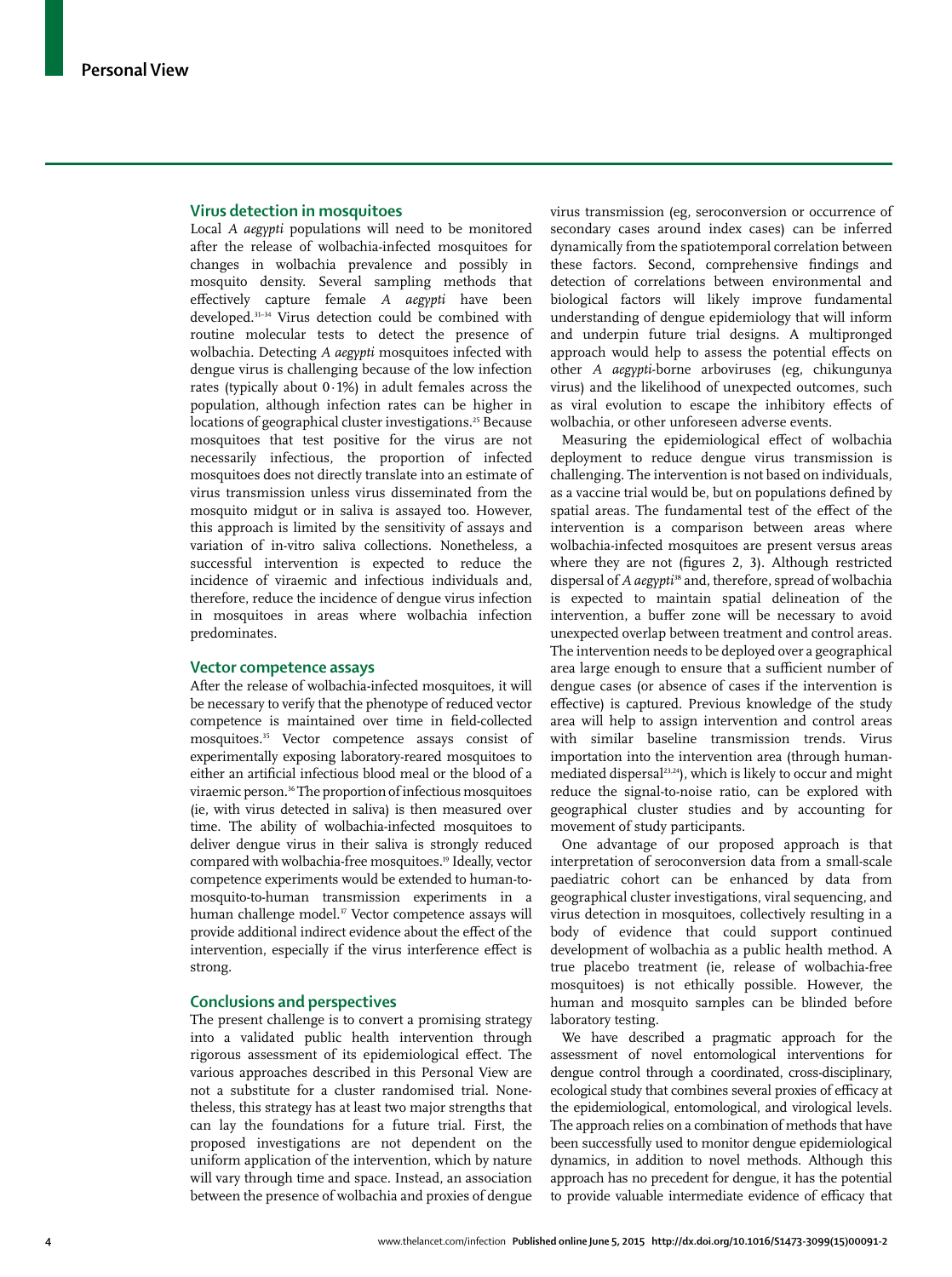## **Virus detection in mosquitoes**

Local *A aegypti* populations will need to be monitored after the release of wolbachia-infected mosquitoes for changes in wolbachia prevalence and possibly in mosquito density. Several sampling methods that eff ectively capture female *A aegypti* have been developed.31–34 Virus detection could be combined with routine molecular tests to detect the presence of wolbachia. Detecting *A aegypti* mosquitoes infected with dengue virus is challenging because of the low infection rates (typically about  $0.1\%$ ) in adult females across the population, although infection rates can be higher in locations of geographical cluster investigations.25 Because mosquitoes that test positive for the virus are not necessarily infectious, the proportion of infected mosquitoes does not directly translate into an estimate of virus transmission unless virus disseminated from the mosquito midgut or in saliva is assayed too. However, this approach is limited by the sensitivity of assays and variation of in-vitro saliva collections. Nonetheless, a successful intervention is expected to reduce the incidence of viraemic and infectious individuals and, therefore, reduce the incidence of dengue virus infection in mosquitoes in areas where wolbachia infection predominates.

## **Vector competence assays**

After the release of wolbachia-infected mosquitoes, it will be necessary to verify that the phenotype of reduced vector competence is maintained over time in field-collected mosquitoes.35 Vector competence assays consist of experimentally exposing laboratory-reared mosquitoes to either an artificial infectious blood meal or the blood of a viraemic person.<sup>36</sup> The proportion of infectious mosquitoes (ie, with virus detected in saliva) is then measured over time. The ability of wolbachia-infected mosquitoes to deliver dengue virus in their saliva is strongly reduced compared with wolbachia-free mosquitoes.<sup>19</sup> Ideally, vector competence experiments would be extended to human-tomosquito-to-human transmission experiments in a human challenge model.<sup>37</sup> Vector competence assays will provide additional indirect evidence about the effect of the intervention, especially if the virus interference effect is strong.

## **Conclusions and perspectives**

The present challenge is to convert a promising strategy into a validated public health intervention through rigorous assessment of its epidemiological effect. The various approaches described in this Personal View are not a substitute for a cluster randomised trial. Nonetheless, this strategy has at least two major strengths that can lay the foundations for a future trial. First, the proposed investigations are not dependent on the uniform application of the intervention, which by nature will vary through time and space. Instead, an association between the presence of wolbachia and proxies of dengue virus transmission (eg, seroconversion or occurrence of secondary cases around index cases) can be inferred dynamically from the spatiotemporal correlation between these factors. Second, comprehensive findings and detection of correlations between environmental and biological factors will likely improve fundamental understanding of dengue epidemiology that will inform and underpin future trial designs. A multipronged approach would help to assess the potential effects on other *A aegypti*-borne arboviruses (eg, chikungunya virus) and the likelihood of unexpected outcomes, such as viral evolution to escape the inhibitory effects of wolbachia, or other unforeseen adverse events.

Measuring the epidemiological effect of wolbachia deployment to reduce dengue virus transmission is challenging. The intervention is not based on individuals, as a vaccine trial would be, but on populations defined by spatial areas. The fundamental test of the effect of the intervention is a comparison between areas where wolbachia-infected mosquitoes are present versus areas where they are not (figures 2, 3). Although restricted dispersal of *A aegypti<sup>38</sup>* and, therefore, spread of wolbachia is expected to maintain spatial delineation of the intervention, a buffer zone will be necessary to avoid unexpected overlap between treatment and control areas. The intervention needs to be deployed over a geographical area large enough to ensure that a sufficient number of dengue cases (or absence of cases if the intervention is effective) is captured. Previous knowledge of the study area will help to assign intervention and control areas with similar baseline transmission trends. Virus importation into the intervention area (through humanmediated dispersal23,24), which is likely to occur and might reduce the signal-to-noise ratio, can be explored with geographical cluster studies and by accounting for movement of study participants.

One advantage of our proposed approach is that interpretation of seroconversion data from a small-scale paediatric cohort can be enhanced by data from geographical cluster investigations, viral sequencing, and virus detection in mosquitoes, collectively resulting in a body of evidence that could support continued development of wolbachia as a public health method. A true placebo treatment (ie, release of wolbachia-free mosquitoes) is not ethically possible. However, the human and mosquito samples can be blinded before laboratory testing.

We have described a pragmatic approach for the assessment of novel entomological interventions for dengue control through a coordinated, cross-disciplinary, ecological study that combines several proxies of efficacy at the epidemiological, entomological, and virological levels. The approach relies on a combination of methods that have been successfully used to monitor dengue epidemiological dynamics, in addition to novel methods. Although this approach has no precedent for dengue, it has the potential to provide valuable intermediate evidence of efficacy that